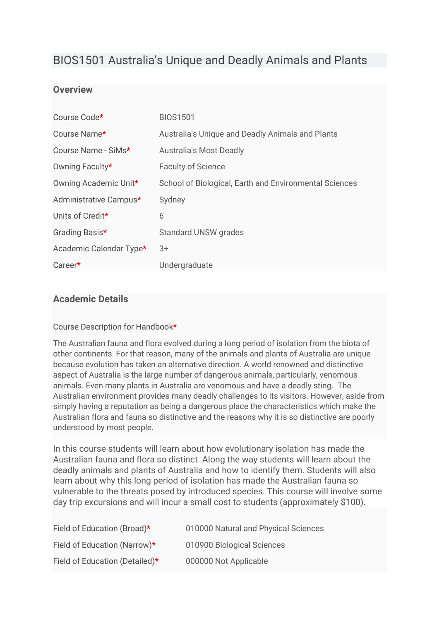# BIOS1501 Australia's Unique and Deadly Animals and Plants

## **Overview**

| Course Code*            | <b>BIOS1501</b>                                        |
|-------------------------|--------------------------------------------------------|
| Course Name*            | Australia's Unique and Deadly Animals and Plants       |
| Course Name - SiMs*     | <b>Australia's Most Deadly</b>                         |
| Owning Faculty*         | <b>Faculty of Science</b>                              |
| Owning Academic Unit*   | School of Biological, Earth and Environmental Sciences |
| Administrative Campus*  | Sydney                                                 |
| Units of Credit*        | 6                                                      |
| Grading Basis*          | <b>Standard UNSW grades</b>                            |
| Academic Calendar Type* | $3+$                                                   |
| Career*                 | Undergraduate                                          |

## **Academic Details**

#### Course Description for Handbook**\***

The Australian fauna and flora evolved during a long period of isolation from the biota of other continents. For that reason, many of the animals and plants of Australia are unique because evolution has taken an alternative direction. A world renowned and distinctive aspect of Australia is the large number of dangerous animals, particularly, venomous animals. Even many plants in Australia are venomous and have a deadly sting. The Australian environment provides many deadly challenges to its visitors. However, aside from simply having a reputation as being a dangerous place the characteristics which make the Australian flora and fauna so distinctive and the reasons why it is so distinctive are poorly understood by most people.

In this course students will learn about how evolutionary isolation has made the Australian fauna and flora so distinct. Along the way students will learn about the deadly animals and plants of Australia and how to identify them. Students will also learn about why this long period of isolation has made the Australian fauna so vulnerable to the threats posed by introduced species. This course will involve some day trip excursions and will incur a small cost to students (approximately \$100).

| Field of Education (Broad)*    | 010000 Natural and Physical Sciences |
|--------------------------------|--------------------------------------|
| Field of Education (Narrow)*   | 010900 Biological Sciences           |
| Field of Education (Detailed)* | 000000 Not Applicable                |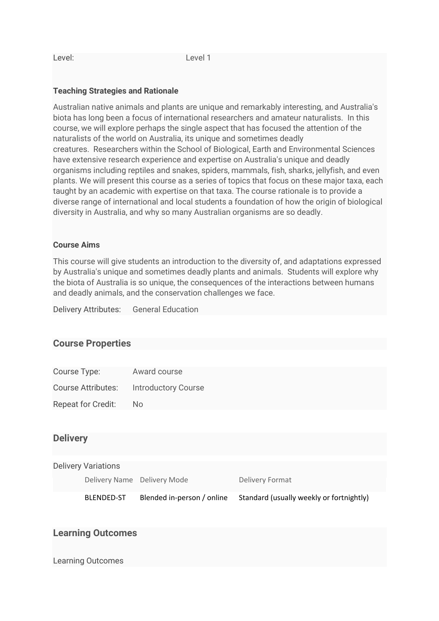#### **Teaching Strategies and Rationale**

Australian native animals and plants are unique and remarkably interesting, and Australia's biota has long been a focus of international researchers and amateur naturalists. In this course, we will explore perhaps the single aspect that has focused the attention of the naturalists of the world on Australia, its unique and sometimes deadly creatures. Researchers within the School of Biological, Earth and Environmental Sciences have extensive research experience and expertise on Australia's unique and deadly organisms including reptiles and snakes, spiders, mammals, fish, sharks, jellyfish, and even plants. We will present this course as a series of topics that focus on these major taxa, each taught by an academic with expertise on that taxa. The course rationale is to provide a diverse range of international and local students a foundation of how the origin of biological diversity in Australia, and why so many Australian organisms are so deadly.

#### **Course Aims**

This course will give students an introduction to the diversity of, and adaptations expressed by Australia's unique and sometimes deadly plants and animals. Students will explore why the biota of Australia is so unique, the consequences of the interactions between humans and deadly animals, and the conservation challenges we face.

Delivery Attributes: General Education

#### **Course Properties**

| Course Type:              | Award course               |
|---------------------------|----------------------------|
| <b>Course Attributes:</b> | <b>Introductory Course</b> |
| <b>Repeat for Credit:</b> | Nο                         |

#### **Delivery**

|                          | <b>Delivery Variations</b>  |                            |                                          |  |
|--------------------------|-----------------------------|----------------------------|------------------------------------------|--|
|                          | Delivery Name Delivery Mode |                            | Delivery Format                          |  |
|                          | <b>BLENDED-ST</b>           | Blended in-person / online | Standard (usually weekly or fortnightly) |  |
|                          |                             |                            |                                          |  |
| <b>Learning Outcomes</b> |                             |                            |                                          |  |
| <b>Learning Outcomes</b> |                             |                            |                                          |  |